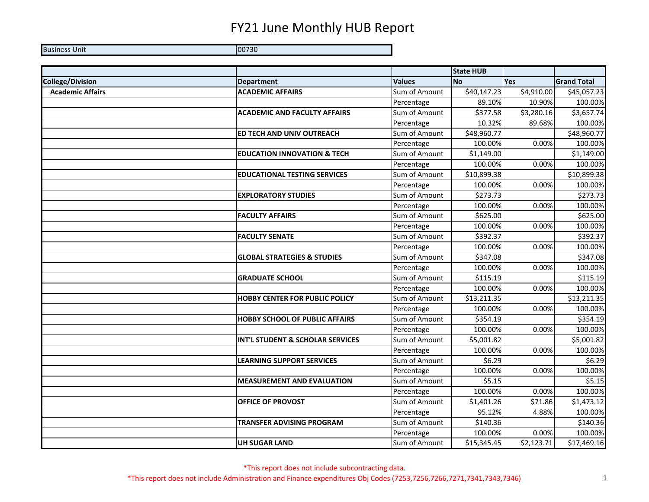Business Unit 00730

|                         |                                        |               | <b>State HUB</b>       |            |                    |
|-------------------------|----------------------------------------|---------------|------------------------|------------|--------------------|
| <b>College/Division</b> | <b>Department</b>                      | <b>Values</b> | <b>No</b>              | Yes        | <b>Grand Total</b> |
| <b>Academic Affairs</b> | <b>ACADEMIC AFFAIRS</b>                | Sum of Amount | \$40,147.23            | \$4,910.00 | \$45,057.23        |
|                         |                                        | Percentage    | 89.10%                 | 10.90%     | 100.00%            |
|                         | <b>ACADEMIC AND FACULTY AFFAIRS</b>    | Sum of Amount | \$377.58               | \$3,280.16 | \$3,657.74         |
|                         |                                        | Percentage    | 10.32%                 | 89.68%     | 100.00%            |
|                         | ED TECH AND UNIV OUTREACH              | Sum of Amount | \$48,960.77            |            | \$48,960.77        |
|                         |                                        | Percentage    | 100.00%                | 0.00%      | 100.00%            |
|                         | <b>EDUCATION INNOVATION &amp; TECH</b> | Sum of Amount | \$1,149.00             |            | \$1,149.00         |
|                         |                                        | Percentage    | 100.00%                | 0.00%      | 100.00%            |
|                         | <b>EDUCATIONAL TESTING SERVICES</b>    | Sum of Amount | \$10,899.38            |            | \$10,899.38        |
|                         |                                        | Percentage    | 100.00%                | 0.00%      | 100.00%            |
|                         | <b>EXPLORATORY STUDIES</b>             | Sum of Amount | $\overline{$}273.73$   |            | \$273.73           |
|                         |                                        | Percentage    | 100.00%                | 0.00%      | 100.00%            |
|                         | <b>FACULTY AFFAIRS</b>                 | Sum of Amount | \$625.00               |            | \$625.00           |
|                         |                                        | Percentage    | 100.00%                | 0.00%      | 100.00%            |
|                         | <b>FACULTY SENATE</b>                  | Sum of Amount | \$392.37               |            | \$392.37           |
|                         |                                        | Percentage    | 100.00%                | 0.00%      | 100.00%            |
|                         | <b>GLOBAL STRATEGIES &amp; STUDIES</b> | Sum of Amount | \$347.08               |            | \$347.08           |
|                         |                                        | Percentage    | 100.00%                | 0.00%      | 100.00%            |
|                         | <b>GRADUATE SCHOOL</b>                 | Sum of Amount | \$115.19               |            | \$115.19           |
|                         |                                        | Percentage    | 100.00%                | 0.00%      | 100.00%            |
|                         | <b>HOBBY CENTER FOR PUBLIC POLICY</b>  | Sum of Amount | \$13,211.35            |            | \$13,211.35        |
|                         |                                        | Percentage    | 100.00%                | 0.00%      | 100.00%            |
|                         | <b>HOBBY SCHOOL OF PUBLIC AFFAIRS</b>  | Sum of Amount | \$354.19               |            | \$354.19           |
|                         |                                        | Percentage    | 100.00%                | 0.00%      | 100.00%            |
|                         | INT'L STUDENT & SCHOLAR SERVICES       | Sum of Amount | $\overline{$5,001.82}$ |            | \$5,001.82         |
|                         |                                        | Percentage    | 100.00%                | 0.00%      | 100.00%            |
|                         | <b>LEARNING SUPPORT SERVICES</b>       | Sum of Amount | \$6.29                 |            | \$6.29             |
|                         |                                        | Percentage    | 100.00%                | 0.00%      | 100.00%            |
|                         | <b>MEASUREMENT AND EVALUATION</b>      | Sum of Amount | \$5.15                 |            | \$5.15             |
|                         |                                        | Percentage    | 100.00%                | 0.00%      | 100.00%            |
|                         | <b>OFFICE OF PROVOST</b>               | Sum of Amount | \$1,401.26             | \$71.86    | \$1,473.12         |
|                         |                                        | Percentage    | 95.12%                 | 4.88%      | 100.00%            |
|                         | <b>TRANSFER ADVISING PROGRAM</b>       | Sum of Amount | \$140.36               |            | \$140.36           |
|                         |                                        | Percentage    | 100.00%                | 0.00%      | 100.00%            |
|                         | <b>UH SUGAR LAND</b>                   | Sum of Amount | \$15,345.45            | \$2,123.71 | \$17,469.16        |

\*This report does not include subcontracting data. \*This report does not include Administration and Finance expenditures Obj Codes (7253,7256,7266,7271,7341,7343,7346) 1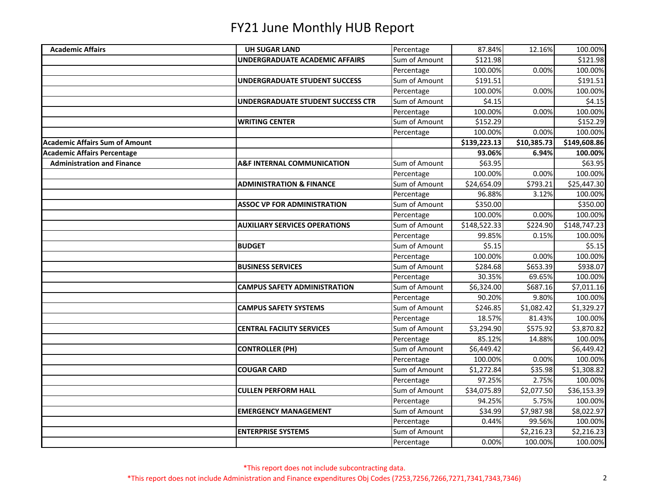| <b>Academic Affairs</b>               | <b>UH SUGAR LAND</b>                     | Percentage    | 87.84%       | 12.16%      | 100.00%      |
|---------------------------------------|------------------------------------------|---------------|--------------|-------------|--------------|
|                                       | UNDERGRADUATE ACADEMIC AFFAIRS           | Sum of Amount | \$121.98     |             | \$121.98     |
|                                       |                                          | Percentage    | 100.00%      | 0.00%       | 100.00%      |
|                                       | <b>UNDERGRADUATE STUDENT SUCCESS</b>     | Sum of Amount | \$191.51     |             | \$191.51     |
|                                       |                                          | Percentage    | 100.00%      | 0.00%       | 100.00%      |
|                                       | <b>UNDERGRADUATE STUDENT SUCCESS CTR</b> | Sum of Amount | \$4.15       |             | \$4.15       |
|                                       |                                          | Percentage    | 100.00%      | 0.00%       | 100.00%      |
|                                       | <b>WRITING CENTER</b>                    | Sum of Amount | \$152.29     |             | \$152.29     |
|                                       |                                          | Percentage    | 100.00%      | 0.00%       | 100.00%      |
| <b>Academic Affairs Sum of Amount</b> |                                          |               | \$139,223.13 | \$10,385.73 | \$149,608.86 |
| <b>Academic Affairs Percentage</b>    |                                          |               | 93.06%       | 6.94%       | 100.00%      |
| <b>Administration and Finance</b>     | <b>A&amp;F INTERNAL COMMUNICATION</b>    | Sum of Amount | \$63.95      |             | \$63.95      |
|                                       |                                          | Percentage    | 100.00%      | 0.00%       | 100.00%      |
|                                       | <b>ADMINISTRATION &amp; FINANCE</b>      | Sum of Amount | \$24,654.09  | \$793.21    | \$25,447.30  |
|                                       |                                          | Percentage    | 96.88%       | 3.12%       | 100.00%      |
|                                       | <b>ASSOC VP FOR ADMINISTRATION</b>       | Sum of Amount | \$350.00     |             | \$350.00     |
|                                       |                                          | Percentage    | 100.00%      | 0.00%       | 100.00%      |
|                                       | <b>AUXILIARY SERVICES OPERATIONS</b>     | Sum of Amount | \$148,522.33 | \$224.90    | \$148,747.23 |
|                                       |                                          | Percentage    | 99.85%       | 0.15%       | 100.00%      |
|                                       | <b>BUDGET</b>                            | Sum of Amount | \$5.15       |             | \$5.15       |
|                                       |                                          | Percentage    | 100.00%      | 0.00%       | 100.00%      |
|                                       | <b>BUSINESS SERVICES</b>                 | Sum of Amount | \$284.68     | \$653.39    | \$938.07     |
|                                       |                                          | Percentage    | 30.35%       | 69.65%      | 100.00%      |
|                                       | <b>CAMPUS SAFETY ADMINISTRATION</b>      | Sum of Amount | \$6,324.00   | \$687.16    | \$7,011.16   |
|                                       |                                          | Percentage    | 90.20%       | 9.80%       | 100.00%      |
|                                       | <b>CAMPUS SAFETY SYSTEMS</b>             | Sum of Amount | \$246.85     | \$1,082.42  | \$1,329.27   |
|                                       |                                          | Percentage    | 18.57%       | 81.43%      | 100.00%      |
|                                       | <b>CENTRAL FACILITY SERVICES</b>         | Sum of Amount | \$3,294.90   | \$575.92    | \$3,870.82   |
|                                       |                                          | Percentage    | 85.12%       | 14.88%      | 100.00%      |
|                                       | <b>CONTROLLER (PH)</b>                   | Sum of Amount | \$6,449.42   |             | \$6,449.42   |
|                                       |                                          | Percentage    | 100.00%      | 0.00%       | 100.00%      |
|                                       | <b>COUGAR CARD</b>                       | Sum of Amount | \$1,272.84   | \$35.98     | \$1,308.82   |
|                                       |                                          | Percentage    | 97.25%       | 2.75%       | 100.00%      |
|                                       | <b>CULLEN PERFORM HALL</b>               | Sum of Amount | \$34,075.89  | \$2,077.50  | \$36,153.39  |
|                                       |                                          | Percentage    | 94.25%       | 5.75%       | 100.00%      |
|                                       | <b>EMERGENCY MANAGEMENT</b>              | Sum of Amount | \$34.99      | \$7,987.98  | \$8,022.97   |
|                                       |                                          | Percentage    | 0.44%        | 99.56%      | 100.00%      |
|                                       | <b>ENTERPRISE SYSTEMS</b>                | Sum of Amount |              | \$2,216.23  | \$2,216.23   |
|                                       |                                          | Percentage    | 0.00%        | 100.00%     | 100.00%      |
|                                       |                                          |               |              |             |              |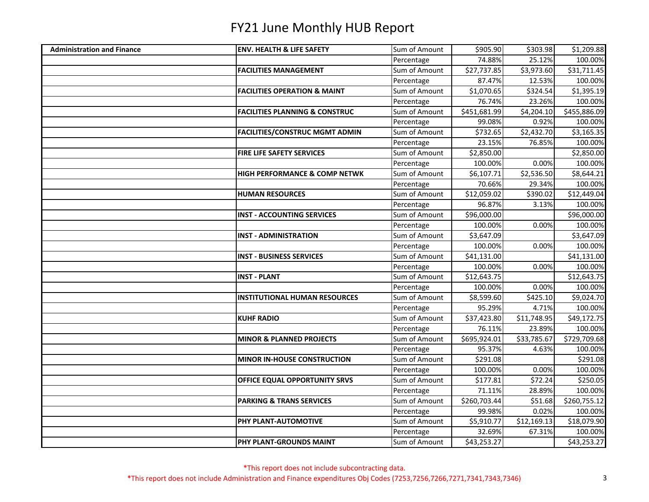| <b>Administration and Finance</b> | <b>ENV. HEALTH &amp; LIFE SAFETY</b>      | Sum of Amount | \$905.90     | \$303.98    | \$1,209.88   |
|-----------------------------------|-------------------------------------------|---------------|--------------|-------------|--------------|
|                                   |                                           | Percentage    | 74.88%       | 25.12%      | 100.00%      |
|                                   | <b>FACILITIES MANAGEMENT</b>              | Sum of Amount | \$27,737.85  | \$3,973.60  | \$31,711.45  |
|                                   |                                           | Percentage    | 87.47%       | 12.53%      | 100.00%      |
|                                   | <b>FACILITIES OPERATION &amp; MAINT</b>   | Sum of Amount | \$1,070.65   | \$324.54    | \$1,395.19   |
|                                   |                                           | Percentage    | 76.74%       | 23.26%      | 100.00%      |
|                                   | <b>FACILITIES PLANNING &amp; CONSTRUC</b> | Sum of Amount | \$451,681.99 | \$4,204.10  | \$455,886.09 |
|                                   |                                           | Percentage    | 99.08%       | 0.92%       | 100.00%      |
|                                   | <b>FACILITIES/CONSTRUC MGMT ADMIN</b>     | Sum of Amount | \$732.65     | \$2,432.70  | \$3,165.35   |
|                                   |                                           | Percentage    | 23.15%       | 76.85%      | 100.00%      |
|                                   | FIRE LIFE SAFETY SERVICES                 | Sum of Amount | \$2,850.00   |             | \$2,850.00   |
|                                   |                                           | Percentage    | 100.00%      | 0.00%       | 100.00%      |
|                                   | <b>HIGH PERFORMANCE &amp; COMP NETWK</b>  | Sum of Amount | \$6,107.71   | \$2,536.50  | \$8,644.21   |
|                                   |                                           | Percentage    | 70.66%       | 29.34%      | 100.00%      |
|                                   | <b>HUMAN RESOURCES</b>                    | Sum of Amount | \$12,059.02  | \$390.02    | \$12,449.04  |
|                                   |                                           | Percentage    | 96.87%       | 3.13%       | 100.00%      |
|                                   | <b>INST - ACCOUNTING SERVICES</b>         | Sum of Amount | \$96,000.00  |             | \$96,000.00  |
|                                   |                                           | Percentage    | 100.00%      | 0.00%       | 100.00%      |
|                                   | <b>INST - ADMINISTRATION</b>              | Sum of Amount | \$3,647.09   |             | \$3,647.09   |
|                                   |                                           | Percentage    | 100.00%      | 0.00%       | 100.00%      |
|                                   | <b>INST - BUSINESS SERVICES</b>           | Sum of Amount | \$41,131.00  |             | \$41,131.00  |
|                                   |                                           | Percentage    | 100.00%      | 0.00%       | 100.00%      |
|                                   | <b>INST - PLANT</b>                       | Sum of Amount | \$12,643.75  |             | \$12,643.75  |
|                                   |                                           | Percentage    | 100.00%      | 0.00%       | 100.00%      |
|                                   | <b>INSTITUTIONAL HUMAN RESOURCES</b>      | Sum of Amount | \$8,599.60   | \$425.10    | \$9,024.70   |
|                                   |                                           | Percentage    | 95.29%       | 4.71%       | 100.00%      |
|                                   | <b>KUHF RADIO</b>                         | Sum of Amount | \$37,423.80  | \$11,748.95 | \$49,172.75  |
|                                   |                                           | Percentage    | 76.11%       | 23.89%      | 100.00%      |
|                                   | <b>MINOR &amp; PLANNED PROJECTS</b>       | Sum of Amount | \$695,924.01 | \$33,785.67 | \$729,709.68 |
|                                   |                                           | Percentage    | 95.37%       | 4.63%       | 100.00%      |
|                                   | <b>MINOR IN-HOUSE CONSTRUCTION</b>        | Sum of Amount | \$291.08     |             | \$291.08     |
|                                   |                                           | Percentage    | 100.00%      | 0.00%       | 100.00%      |
|                                   | OFFICE EQUAL OPPORTUNITY SRVS             | Sum of Amount | \$177.81     | \$72.24     | \$250.05     |
|                                   |                                           | Percentage    | 71.11%       | 28.89%      | 100.00%      |
|                                   | <b>PARKING &amp; TRANS SERVICES</b>       | Sum of Amount | \$260,703.44 | \$51.68     | \$260,755.12 |
|                                   |                                           | Percentage    | 99.98%       | 0.02%       | 100.00%      |
|                                   | PHY PLANT-AUTOMOTIVE                      | Sum of Amount | \$5,910.77   | \$12,169.13 | \$18,079.90  |
|                                   |                                           | Percentage    | 32.69%       | 67.31%      | 100.00%      |
|                                   | PHY PLANT-GROUNDS MAINT                   | Sum of Amount | \$43,253.27  |             | \$43,253.27  |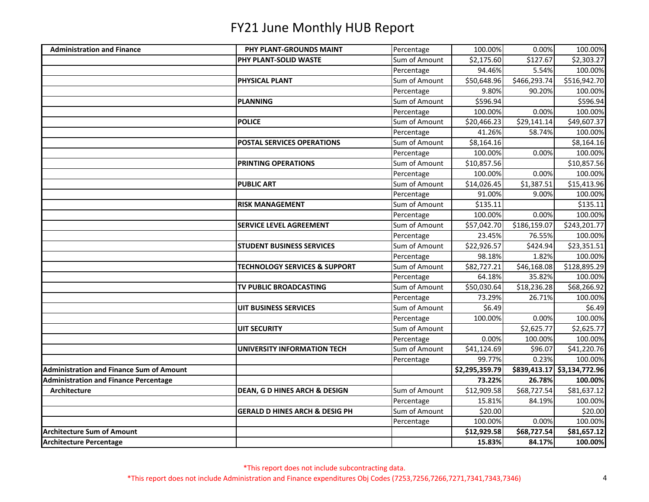| <b>Administration and Finance</b>               | PHY PLANT-GROUNDS MAINT                   | Percentage    | 100.00%                 | 0.00%        | 100.00%                     |
|-------------------------------------------------|-------------------------------------------|---------------|-------------------------|--------------|-----------------------------|
|                                                 | PHY PLANT-SOLID WASTE                     | Sum of Amount | \$2,175.60              | \$127.67     | \$2,303.27                  |
|                                                 |                                           | Percentage    | 94.46%                  | 5.54%        | 100.00%                     |
|                                                 | PHYSICAL PLANT                            | Sum of Amount | \$50,648.96             | \$466,293.74 | \$516,942.70                |
|                                                 |                                           | Percentage    | 9.80%                   | 90.20%       | 100.00%                     |
|                                                 | <b>PLANNING</b>                           | Sum of Amount | \$596.94                |              | \$596.94                    |
|                                                 |                                           | Percentage    | 100.00%                 | 0.00%        | 100.00%                     |
|                                                 | <b>POLICE</b>                             | Sum of Amount | \$20,466.23             | \$29,141.14  | \$49,607.37                 |
|                                                 |                                           | Percentage    | 41.26%                  | 58.74%       | 100.00%                     |
|                                                 | <b>POSTAL SERVICES OPERATIONS</b>         | Sum of Amount | \$8,164.16              |              | \$8,164.16                  |
|                                                 |                                           | Percentage    | 100.00%                 | 0.00%        | 100.00%                     |
|                                                 | PRINTING OPERATIONS                       | Sum of Amount | \$10,857.56             |              | \$10,857.56                 |
|                                                 |                                           | Percentage    | 100.00%                 | 0.00%        | 100.00%                     |
|                                                 | <b>PUBLIC ART</b>                         | Sum of Amount | \$14,026.45             | \$1,387.51   | \$15,413.96                 |
|                                                 |                                           | Percentage    | 91.00%                  | 9.00%        | 100.00%                     |
|                                                 | <b>RISK MANAGEMENT</b>                    | Sum of Amount | \$135.11                |              | \$135.11                    |
|                                                 |                                           | Percentage    | 100.00%                 | 0.00%        | 100.00%                     |
|                                                 | <b>SERVICE LEVEL AGREEMENT</b>            | Sum of Amount | \$57,042.70             | \$186,159.07 | \$243,201.77                |
|                                                 |                                           | Percentage    | 23.45%                  | 76.55%       | 100.00%                     |
|                                                 | <b>STUDENT BUSINESS SERVICES</b>          | Sum of Amount | \$22,926.57             | \$424.94     | \$23,351.51                 |
|                                                 |                                           | Percentage    | 98.18%                  | 1.82%        | 100.00%                     |
|                                                 | <b>TECHNOLOGY SERVICES &amp; SUPPORT</b>  | Sum of Amount | \$82,727.21             | \$46,168.08  | \$128,895.29                |
|                                                 |                                           | Percentage    | 64.18%                  | 35.82%       | 100.00%                     |
|                                                 | TV PUBLIC BROADCASTING                    | Sum of Amount | \$50,030.64             | \$18,236.28  | \$68,266.92                 |
|                                                 |                                           | Percentage    | 73.29%                  | 26.71%       | 100.00%                     |
|                                                 | <b>UIT BUSINESS SERVICES</b>              | Sum of Amount | \$6.49                  |              | \$6.49                      |
|                                                 |                                           | Percentage    | 100.00%                 | 0.00%        | 100.00%                     |
|                                                 | <b>UIT SECURITY</b>                       | Sum of Amount |                         | \$2,625.77   | \$2,625.77                  |
|                                                 |                                           | Percentage    | 0.00%                   | 100.00%      | 100.00%                     |
|                                                 | <b>UNIVERSITY INFORMATION TECH</b>        | Sum of Amount | $\overline{$}41,124.69$ | \$96.07      | \$41,220.76                 |
|                                                 |                                           | Percentage    | 99.77%                  | 0.23%        | 100.00%                     |
| <b>Administration and Finance Sum of Amount</b> |                                           |               | \$2,295,359.79          |              | \$839,413.17 \$3,134,772.96 |
| <b>Administration and Finance Percentage</b>    |                                           |               | 73.22%                  | 26.78%       | 100.00%                     |
| Architecture                                    | <b>DEAN, G D HINES ARCH &amp; DESIGN</b>  | Sum of Amount | \$12,909.58             | \$68,727.54  | \$81,637.12                 |
|                                                 |                                           | Percentage    | 15.81%                  | 84.19%       | 100.00%                     |
|                                                 | <b>GERALD D HINES ARCH &amp; DESIG PH</b> | Sum of Amount | \$20.00                 |              | \$20.00                     |
|                                                 |                                           | Percentage    | 100.00%                 | 0.00%        | 100.00%                     |
| <b>Architecture Sum of Amount</b>               |                                           |               | \$12,929.58             | \$68,727.54  | \$81,657.12                 |
| <b>Architecture Percentage</b>                  |                                           |               | 15.83%                  | 84.17%       | 100.00%                     |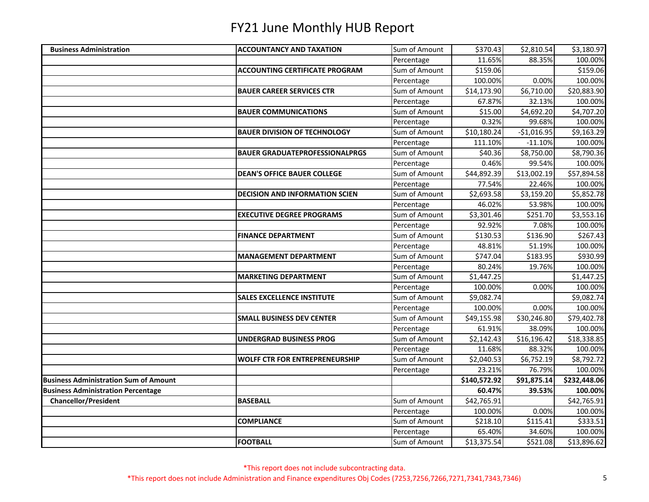| <b>Business Administration</b>               | <b>ACCOUNTANCY AND TAXATION</b>       | Sum of Amount | \$370.43     | \$2,810.54   | \$3,180.97   |
|----------------------------------------------|---------------------------------------|---------------|--------------|--------------|--------------|
|                                              |                                       | Percentage    | 11.65%       | 88.35%       | 100.00%      |
|                                              | <b>ACCOUNTING CERTIFICATE PROGRAM</b> | Sum of Amount | \$159.06     |              | \$159.06     |
|                                              |                                       | Percentage    | 100.00%      | 0.00%        | 100.00%      |
|                                              | <b>BAUER CAREER SERVICES CTR</b>      | Sum of Amount | \$14,173.90  | \$6,710.00   | \$20,883.90  |
|                                              |                                       | Percentage    | 67.87%       | 32.13%       | 100.00%      |
|                                              | <b>BAUER COMMUNICATIONS</b>           | Sum of Amount | \$15.00      | \$4,692.20   | \$4,707.20   |
|                                              |                                       | Percentage    | 0.32%        | 99.68%       | 100.00%      |
|                                              | <b>BAUER DIVISION OF TECHNOLOGY</b>   | Sum of Amount | \$10,180.24  | $-$1,016.95$ | \$9,163.29   |
|                                              |                                       | Percentage    | 111.10%      | $-11.10%$    | 100.00%      |
|                                              | <b>BAUER GRADUATEPROFESSIONALPRGS</b> | Sum of Amount | \$40.36      | \$8,750.00   | \$8,790.36   |
|                                              |                                       | Percentage    | 0.46%        | 99.54%       | 100.00%      |
|                                              | <b>DEAN'S OFFICE BAUER COLLEGE</b>    | Sum of Amount | \$44,892.39  | \$13,002.19  | \$57,894.58  |
|                                              |                                       | Percentage    | 77.54%       | 22.46%       | 100.00%      |
|                                              | <b>DECISION AND INFORMATION SCIEN</b> | Sum of Amount | \$2,693.58   | \$3,159.20   | \$5,852.78   |
|                                              |                                       | Percentage    | 46.02%       | 53.98%       | 100.00%      |
|                                              | <b>EXECUTIVE DEGREE PROGRAMS</b>      | Sum of Amount | \$3,301.46   | \$251.70     | \$3,553.16   |
|                                              |                                       | Percentage    | 92.92%       | 7.08%        | 100.00%      |
|                                              | <b>FINANCE DEPARTMENT</b>             | Sum of Amount | \$130.53     | \$136.90     | \$267.43     |
|                                              |                                       | Percentage    | 48.81%       | 51.19%       | 100.00%      |
|                                              | <b>MANAGEMENT DEPARTMENT</b>          | Sum of Amount | \$747.04     | \$183.95     | \$930.99     |
|                                              |                                       | Percentage    | 80.24%       | 19.76%       | 100.00%      |
|                                              | <b>MARKETING DEPARTMENT</b>           | Sum of Amount | \$1,447.25   |              | \$1,447.25   |
|                                              |                                       | Percentage    | 100.00%      | 0.00%        | 100.00%      |
|                                              | <b>SALES EXCELLENCE INSTITUTE</b>     | Sum of Amount | \$9,082.74   |              | \$9,082.74   |
|                                              |                                       | Percentage    | 100.00%      | 0.00%        | 100.00%      |
|                                              | <b>SMALL BUSINESS DEV CENTER</b>      | Sum of Amount | \$49,155.98  | \$30,246.80  | \$79,402.78  |
|                                              |                                       | Percentage    | 61.91%       | 38.09%       | 100.00%      |
|                                              | <b>UNDERGRAD BUSINESS PROG</b>        | Sum of Amount | \$2,142.43   | \$16,196.42  | \$18,338.85  |
|                                              |                                       | Percentage    | 11.68%       | 88.32%       | 100.00%      |
|                                              | <b>WOLFF CTR FOR ENTREPRENEURSHIP</b> | Sum of Amount | \$2,040.53   | \$6,752.19   | \$8,792.72   |
|                                              |                                       | Percentage    | 23.21%       | 76.79%       | 100.00%      |
| <b>Business Administration Sum of Amount</b> |                                       |               | \$140,572.92 | \$91,875.14  | \$232,448.06 |
| <b>Business Administration Percentage</b>    |                                       |               | 60.47%       | 39.53%       | 100.00%      |
| <b>Chancellor/President</b>                  | <b>BASEBALL</b>                       | Sum of Amount | \$42,765.91  |              | \$42,765.91  |
|                                              |                                       | Percentage    | 100.00%      | 0.00%        | 100.00%      |
|                                              | <b>COMPLIANCE</b>                     | Sum of Amount | \$218.10     | \$115.41     | \$333.51     |
|                                              |                                       | Percentage    | 65.40%       | 34.60%       | 100.00%      |
|                                              | <b>FOOTBALL</b>                       | Sum of Amount | \$13,375.54  | \$521.08     | \$13,896.62  |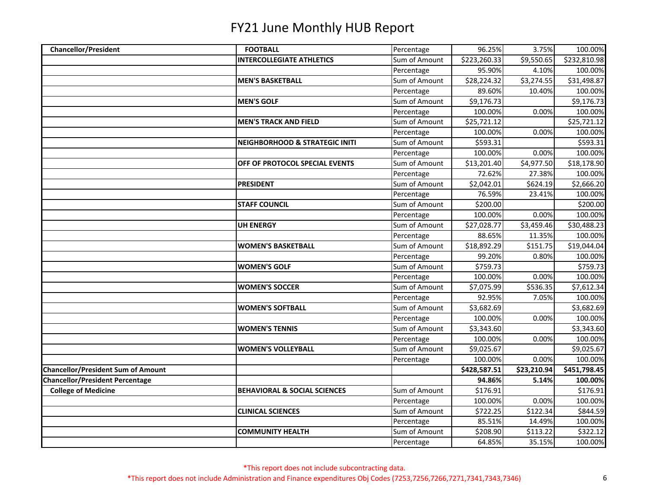| <b>Chancellor/President</b>               | <b>FOOTBALL</b>                           | Percentage    | 96.25%       | 3.75%       | 100.00%      |
|-------------------------------------------|-------------------------------------------|---------------|--------------|-------------|--------------|
|                                           | <b>INTERCOLLEGIATE ATHLETICS</b>          | Sum of Amount | \$223,260.33 | \$9,550.65  | \$232,810.98 |
|                                           |                                           | Percentage    | 95.90%       | 4.10%       | 100.00%      |
|                                           | <b>MEN'S BASKETBALL</b>                   | Sum of Amount | 528,224.32   | \$3,274.55  | \$31,498.87  |
|                                           |                                           | Percentage    | 89.60%       | 10.40%      | 100.00%      |
|                                           | <b>MEN'S GOLF</b>                         | Sum of Amount | \$9,176.73   |             | \$9,176.73   |
|                                           |                                           | Percentage    | 100.00%      | 0.00%       | 100.00%      |
|                                           | <b>MEN'S TRACK AND FIELD</b>              | Sum of Amount | \$25,721.12  |             | \$25,721.12  |
|                                           |                                           | Percentage    | 100.00%      | 0.00%       | 100.00%      |
|                                           | <b>NEIGHBORHOOD &amp; STRATEGIC INITI</b> | Sum of Amount | \$593.31     |             | \$593.31     |
|                                           |                                           | Percentage    | 100.00%      | 0.00%       | 100.00%      |
|                                           | OFF OF PROTOCOL SPECIAL EVENTS            | Sum of Amount | \$13,201.40  | \$4,977.50  | \$18,178.90  |
|                                           |                                           | Percentage    | 72.62%       | 27.38%      | 100.00%      |
|                                           | <b>PRESIDENT</b>                          | Sum of Amount | \$2,042.01   | \$624.19    | \$2,666.20   |
|                                           |                                           | Percentage    | 76.59%       | 23.41%      | 100.00%      |
|                                           | <b>STAFF COUNCIL</b>                      | Sum of Amount | \$200.00     |             | \$200.00     |
|                                           |                                           | Percentage    | 100.00%      | 0.00%       | 100.00%      |
|                                           | <b>UH ENERGY</b>                          | Sum of Amount | \$27,028.77  | \$3,459.46  | \$30,488.23  |
|                                           |                                           | Percentage    | 88.65%       | 11.35%      | 100.00%      |
|                                           | <b>WOMEN'S BASKETBALL</b>                 | Sum of Amount | \$18,892.29  | \$151.75    | \$19,044.04  |
|                                           |                                           | Percentage    | 99.20%       | 0.80%       | 100.00%      |
|                                           | <b>WOMEN'S GOLF</b>                       | Sum of Amount | \$759.73     |             | \$759.73     |
|                                           |                                           | Percentage    | 100.00%      | 0.00%       | 100.00%      |
|                                           | <b>WOMEN'S SOCCER</b>                     | Sum of Amount | \$7,075.99   | \$536.35    | \$7,612.34   |
|                                           |                                           | Percentage    | 92.95%       | 7.05%       | 100.00%      |
|                                           | <b>WOMEN'S SOFTBALL</b>                   | Sum of Amount | \$3,682.69   |             | \$3,682.69   |
|                                           |                                           | Percentage    | 100.00%      | 0.00%       | 100.00%      |
|                                           | <b>WOMEN'S TENNIS</b>                     | Sum of Amount | \$3,343.60   |             | \$3,343.60   |
|                                           |                                           | Percentage    | 100.00%      | 0.00%       | 100.00%      |
|                                           | <b>WOMEN'S VOLLEYBALL</b>                 | Sum of Amount | \$9,025.67   |             | \$9,025.67   |
|                                           |                                           | Percentage    | 100.00%      | 0.00%       | 100.00%      |
| <b>Chancellor/President Sum of Amount</b> |                                           |               | \$428,587.51 | \$23,210.94 | \$451,798.45 |
| <b>Chancellor/President Percentage</b>    |                                           |               | 94.86%       | 5.14%       | 100.00%      |
| <b>College of Medicine</b>                | <b>BEHAVIORAL &amp; SOCIAL SCIENCES</b>   | Sum of Amount | \$176.91     |             | \$176.91     |
|                                           |                                           | Percentage    | 100.00%      | 0.00%       | 100.00%      |
|                                           | <b>CLINICAL SCIENCES</b>                  | Sum of Amount | \$722.25     | \$122.34    | \$844.59     |
|                                           |                                           | Percentage    | 85.51%       | 14.49%      | 100.00%      |
|                                           | <b>COMMUNITY HEALTH</b>                   | Sum of Amount | \$208.90     | \$113.22    | 5322.12      |
|                                           |                                           | Percentage    | 64.85%       | 35.15%      | 100.00%      |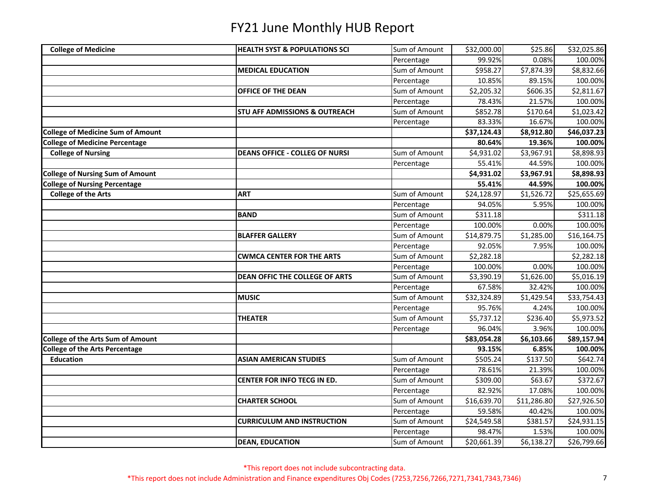| <b>HEALTH SYST &amp; POPULATIONS SCI</b> | Sum of Amount |                        |             |             |
|------------------------------------------|---------------|------------------------|-------------|-------------|
|                                          |               | \$32,000.00            | \$25.86     | \$32,025.86 |
|                                          | Percentage    | 99.92%                 | 0.08%       | 100.00%     |
| <b>MEDICAL EDUCATION</b>                 | Sum of Amount | \$958.27               | \$7,874.39  | \$8,832.66  |
|                                          | Percentage    | 10.85%                 | 89.15%      | 100.00%     |
| OFFICE OF THE DEAN                       | Sum of Amount | \$2,205.32             | \$606.35    | \$2,811.67  |
|                                          | Percentage    | 78.43%                 | 21.57%      | 100.00%     |
| <b>STU AFF ADMISSIONS &amp; OUTREACH</b> | Sum of Amount | \$852.78               | \$170.64    | \$1,023.42  |
|                                          | Percentage    | 83.33%                 | 16.67%      | 100.00%     |
|                                          |               | \$37,124.43            | \$8,912.80  | \$46,037.23 |
|                                          |               | 80.64%                 | 19.36%      | 100.00%     |
| <b>DEANS OFFICE - COLLEG OF NURSI</b>    | Sum of Amount | \$4,931.02             | \$3,967.91  | \$8,898.93  |
|                                          | Percentage    | 55.41%                 | 44.59%      | 100.00%     |
|                                          |               | $\overline{54,931.02}$ | \$3,967.91  | \$8,898.93  |
|                                          |               | 55.41%                 | 44.59%      | 100.00%     |
| <b>ART</b>                               | Sum of Amount | \$24,128.97            | \$1,526.72  | \$25,655.69 |
|                                          | Percentage    | 94.05%                 | 5.95%       | 100.00%     |
| <b>BAND</b>                              | Sum of Amount | \$311.18               |             | \$311.18    |
|                                          | Percentage    | 100.00%                | 0.00%       | 100.00%     |
| <b>BLAFFER GALLERY</b>                   | Sum of Amount | \$14,879.75            | \$1,285.00  | \$16,164.75 |
|                                          | Percentage    | 92.05%                 | 7.95%       | 100.00%     |
| <b>CWMCA CENTER FOR THE ARTS</b>         | Sum of Amount | \$2,282.18             |             | \$2,282.18  |
|                                          | Percentage    | 100.00%                | 0.00%       | 100.00%     |
| DEAN OFFIC THE COLLEGE OF ARTS           | Sum of Amount | \$3,390.19             | \$1,626.00  | \$5,016.19  |
|                                          | Percentage    | 67.58%                 | 32.42%      | 100.00%     |
| <b>MUSIC</b>                             | Sum of Amount | \$32,324.89            | \$1,429.54  | \$33,754.43 |
|                                          | Percentage    | 95.76%                 | 4.24%       | 100.00%     |
| <b>THEATER</b>                           | Sum of Amount | \$5,737.12             | \$236.40    | \$5,973.52  |
|                                          | Percentage    | 96.04%                 | 3.96%       | 100.00%     |
|                                          |               | \$83,054.28            | \$6,103.66  | \$89,157.94 |
|                                          |               | 93.15%                 | 6.85%       | 100.00%     |
| <b>ASIAN AMERICAN STUDIES</b>            |               | \$505.24               | \$137.50    | \$642.74    |
|                                          | Percentage    | 78.61%                 | 21.39%      | 100.00%     |
| CENTER FOR INFO TECG IN ED.              | Sum of Amount | \$309.00               | \$63.67     | \$372.67    |
|                                          | Percentage    | 82.92%                 | 17.08%      | 100.00%     |
| <b>CHARTER SCHOOL</b>                    | Sum of Amount | \$16,639.70            | \$11,286.80 | \$27,926.50 |
|                                          | Percentage    | 59.58%                 | 40.42%      | 100.00%     |
| <b>CURRICULUM AND INSTRUCTION</b>        | Sum of Amount | \$24,549.58            | \$381.57    | \$24,931.15 |
|                                          | Percentage    | 98.47%                 | 1.53%       | 100.00%     |
| <b>DEAN, EDUCATION</b>                   | Sum of Amount | \$20,661.39            | \$6,138.27  | \$26,799.66 |
|                                          |               | Sum of Amount          |             |             |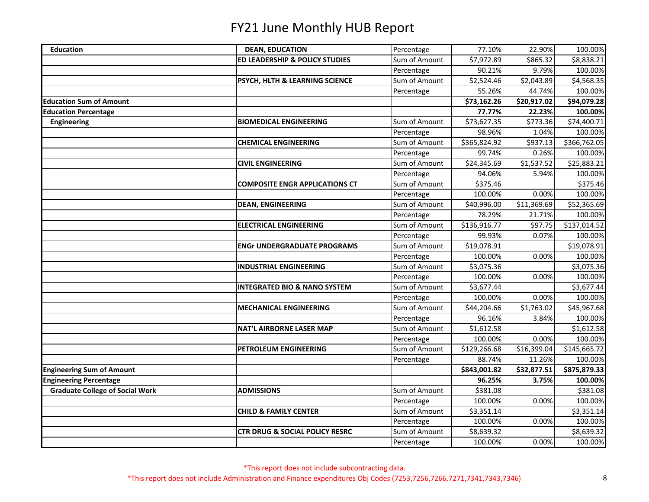| <b>Education</b>                       | <b>DEAN, EDUCATION</b>                    | Percentage    | 77.10%       | 22.90%      | 100.00%      |
|----------------------------------------|-------------------------------------------|---------------|--------------|-------------|--------------|
|                                        | <b>ED LEADERSHIP &amp; POLICY STUDIES</b> | Sum of Amount | \$7,972.89   | \$865.32    | \$8,838.21   |
|                                        |                                           | Percentage    | 90.21%       | 9.79%       | 100.00%      |
|                                        | PSYCH, HLTH & LEARNING SCIENCE            | Sum of Amount | \$2,524.46   | \$2,043.89  | \$4,568.35   |
|                                        |                                           | Percentage    | 55.26%       | 44.74%      | 100.00%      |
| <b>Education Sum of Amount</b>         |                                           |               | \$73,162.26  | \$20,917.02 | \$94,079.28  |
| <b>Education Percentage</b>            |                                           |               | 77.77%       | 22.23%      | 100.00%      |
| <b>Engineering</b>                     | <b>BIOMEDICAL ENGINEERING</b>             | Sum of Amount | \$73,627.35  | \$773.36    | \$74,400.71  |
|                                        |                                           | Percentage    | 98.96%       | 1.04%       | 100.00%      |
|                                        | <b>CHEMICAL ENGINEERING</b>               | Sum of Amount | \$365,824.92 | \$937.13    | \$366,762.05 |
|                                        |                                           | Percentage    | 99.74%       | 0.26%       | 100.00%      |
|                                        | <b>CIVIL ENGINEERING</b>                  | Sum of Amount | \$24,345.69  | \$1,537.52  | \$25,883.21  |
|                                        |                                           | Percentage    | 94.06%       | 5.94%       | 100.00%      |
|                                        | <b>COMPOSITE ENGR APPLICATIONS CT</b>     | Sum of Amount | \$375.46     |             | \$375.46     |
|                                        |                                           | Percentage    | 100.00%      | 0.00%       | 100.00%      |
|                                        | <b>DEAN, ENGINEERING</b>                  | Sum of Amount | \$40,996.00  | \$11,369.69 | \$52,365.69  |
|                                        |                                           | Percentage    | 78.29%       | 21.71%      | 100.00%      |
|                                        | <b>ELECTRICAL ENGINEERING</b>             | Sum of Amount | \$136,916.77 | \$97.75     | \$137,014.52 |
|                                        |                                           | Percentage    | 99.93%       | 0.07%       | 100.00%      |
|                                        | <b>ENGr UNDERGRADUATE PROGRAMS</b>        | Sum of Amount | \$19,078.91  |             | \$19,078.91  |
|                                        |                                           | Percentage    | 100.00%      | 0.00%       | 100.00%      |
|                                        | <b>INDUSTRIAL ENGINEERING</b>             | Sum of Amount | \$3,075.36   |             | \$3,075.36   |
|                                        |                                           | Percentage    | 100.00%      | 0.00%       | 100.00%      |
|                                        | <b>INTEGRATED BIO &amp; NANO SYSTEM</b>   | Sum of Amount | \$3,677.44   |             | \$3,677.44   |
|                                        |                                           | Percentage    | 100.00%      | 0.00%       | 100.00%      |
|                                        | <b>MECHANICAL ENGINEERING</b>             | Sum of Amount | \$44,204.66  | \$1,763.02  | \$45,967.68  |
|                                        |                                           | Percentage    | 96.16%       | 3.84%       | 100.00%      |
|                                        | <b>NAT'L AIRBORNE LASER MAP</b>           | Sum of Amount | \$1,612.58   |             | \$1,612.58   |
|                                        |                                           | Percentage    | 100.00%      | 0.00%       | 100.00%      |
|                                        | PETROLEUM ENGINEERING                     | Sum of Amount | \$129,266.68 | \$16,399.04 | \$145,665.72 |
|                                        |                                           | Percentage    | 88.74%       | 11.26%      | 100.00%      |
| <b>Engineering Sum of Amount</b>       |                                           |               | \$843,001.82 | \$32,877.51 | \$875,879.33 |
| <b>Engineering Percentage</b>          |                                           |               | 96.25%       | 3.75%       | 100.00%      |
| <b>Graduate College of Social Work</b> | <b>ADMISSIONS</b>                         | Sum of Amount | \$381.08     |             | \$381.08     |
|                                        |                                           | Percentage    | 100.00%      | 0.00%       | 100.00%      |
|                                        | <b>CHILD &amp; FAMILY CENTER</b>          | Sum of Amount | \$3,351.14   |             | \$3,351.14   |
|                                        |                                           | Percentage    | 100.00%      | 0.00%       | 100.00%      |
|                                        | <b>CTR DRUG &amp; SOCIAL POLICY RESRC</b> | Sum of Amount | \$8,639.32   |             | \$8,639.32   |
|                                        |                                           | Percentage    | 100.00%      | 0.00%       | 100.00%      |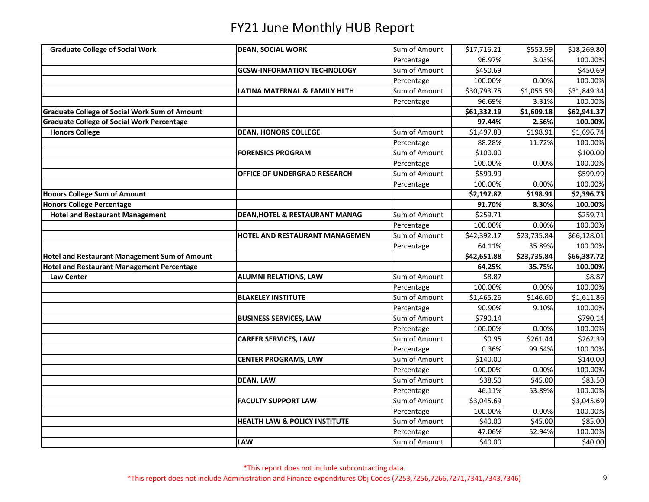| <b>Graduate College of Social Work</b><br>Sum of Amount<br>\$553.59<br><b>DEAN, SOCIAL WORK</b><br>\$17,716.21<br>96.97%<br>3.03%<br>Percentage |             |
|-------------------------------------------------------------------------------------------------------------------------------------------------|-------------|
|                                                                                                                                                 | \$18,269.80 |
|                                                                                                                                                 | 100.00%     |
| Sum of Amount<br>\$450.69<br><b>GCSW-INFORMATION TECHNOLOGY</b>                                                                                 | \$450.69    |
| Percentage<br>100.00%<br>0.00%                                                                                                                  | 100.00%     |
| \$1,055.59<br>Sum of Amount<br>\$30,793.75<br>LATINA MATERNAL & FAMILY HLTH                                                                     | \$31,849.34 |
| Percentage<br>96.69%<br>3.31%                                                                                                                   | 100.00%     |
| <b>Graduate College of Social Work Sum of Amount</b><br>\$61,332.19<br>\$1,609.18                                                               | \$62,941.37 |
| <b>Graduate College of Social Work Percentage</b><br>97.44%<br>2.56%                                                                            | 100.00%     |
| Sum of Amount<br><b>Honors College</b><br>\$1,497.83<br>\$198.91<br><b>DEAN, HONORS COLLEGE</b>                                                 | \$1,696.74  |
| Percentage<br>88.28%<br>11.72%                                                                                                                  | 100.00%     |
| Sum of Amount<br>\$100.00<br><b>FORENSICS PROGRAM</b>                                                                                           | \$100.00    |
| Percentage<br>100.00%<br>0.00%                                                                                                                  | 100.00%     |
| Sum of Amount<br>\$599.99<br>OFFICE OF UNDERGRAD RESEARCH                                                                                       | \$599.99    |
| 0.00%<br>Percentage<br>100.00%                                                                                                                  | 100.00%     |
| <b>Honors College Sum of Amount</b><br>\$2,197.82<br>\$198.91                                                                                   | \$2,396.73  |
| <b>Honors College Percentage</b><br>91.70%<br>8.30%                                                                                             | 100.00%     |
| <b>Hotel and Restaurant Management</b><br>Sum of Amount<br>\$259.71<br><b>DEAN, HOTEL &amp; RESTAURANT MANAG</b>                                | \$259.71    |
| Percentage<br>100.00%<br>0.00%                                                                                                                  | 100.00%     |
| Sum of Amount<br>\$23,735.84<br>HOTEL AND RESTAURANT MANAGEMEN<br>\$42,392.17                                                                   | \$66,128.01 |
| Percentage<br>64.11%<br>35.89%                                                                                                                  | 100.00%     |
| \$23,735.84<br><b>Hotel and Restaurant Management Sum of Amount</b><br>\$42,651.88                                                              | \$66,387.72 |
| <b>Hotel and Restaurant Management Percentage</b><br>64.25%<br>35.75%                                                                           | 100.00%     |
| Sum of Amount<br>\$8.87<br><b>Law Center</b><br><b>ALUMNI RELATIONS, LAW</b>                                                                    | \$8.87      |
| Percentage<br>100.00%<br>0.00%                                                                                                                  | 100.00%     |
|                                                                                                                                                 |             |
| Sum of Amount<br>\$1,465.26<br>\$146.60<br><b>BLAKELEY INSTITUTE</b>                                                                            | \$1,611.86  |
| 90.90%<br>Percentage<br>9.10%                                                                                                                   | 100.00%     |
| \$790.14<br>Sum of Amount<br><b>BUSINESS SERVICES, LAW</b>                                                                                      | \$790.14    |
| Percentage<br>100.00%<br>0.00%                                                                                                                  | 100.00%     |
| Sum of Amount<br>\$261.44<br>\$0.95<br><b>CAREER SERVICES, LAW</b>                                                                              | \$262.39    |
| Percentage<br>0.36%<br>99.64%                                                                                                                   | 100.00%     |
| Sum of Amount<br>\$140.00<br><b>CENTER PROGRAMS, LAW</b>                                                                                        | \$140.00    |
| Percentage<br>0.00%<br>100.00%                                                                                                                  | 100.00%     |
| Sum of Amount<br>\$38.50<br>\$45.00<br><b>DEAN, LAW</b>                                                                                         | \$83.50     |
| Percentage<br>46.11%<br>53.89%                                                                                                                  | 100.00%     |
| Sum of Amount<br>\$3,045.69<br><b>FACULTY SUPPORT LAW</b>                                                                                       | \$3,045.69  |
| Percentage<br>100.00%<br>0.00%                                                                                                                  | 100.00%     |
| Sum of Amount<br>\$45.00<br><b>HEALTH LAW &amp; POLICY INSTITUTE</b><br>\$40.00                                                                 | \$85.00     |
| Percentage<br>47.06%<br>52.94%                                                                                                                  | 100.00%     |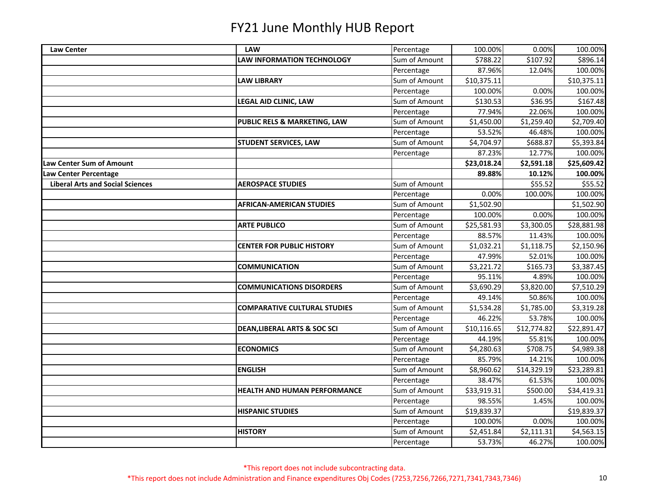| <b>Law Center</b>                       | <b>LAW</b>                              | Percentage    | 100.00%     | 0.00%       | 100.00%     |
|-----------------------------------------|-----------------------------------------|---------------|-------------|-------------|-------------|
|                                         | <b>LAW INFORMATION TECHNOLOGY</b>       | Sum of Amount | \$788.22    | \$107.92    | \$896.14    |
|                                         |                                         | Percentage    | 87.96%      | 12.04%      | 100.00%     |
|                                         | <b>LAW LIBRARY</b>                      | Sum of Amount | \$10,375.11 |             | \$10,375.11 |
|                                         |                                         | Percentage    | 100.00%     | 0.00%       | 100.00%     |
|                                         | <b>LEGAL AID CLINIC, LAW</b>            | Sum of Amount | \$130.53    | \$36.95     | \$167.48    |
|                                         |                                         | Percentage    | 77.94%      | 22.06%      | 100.00%     |
|                                         | PUBLIC RELS & MARKETING, LAW            | Sum of Amount | \$1,450.00  | \$1,259.40  | \$2,709.40  |
|                                         |                                         | Percentage    | 53.52%      | 46.48%      | 100.00%     |
|                                         | <b>STUDENT SERVICES, LAW</b>            | Sum of Amount | \$4,704.97  | \$688.87    | \$5,393.84  |
|                                         |                                         | Percentage    | 87.23%      | 12.77%      | 100.00%     |
| <b>Law Center Sum of Amount</b>         |                                         |               | \$23,018.24 | \$2,591.18  | \$25,609.42 |
| Law Center Percentage                   |                                         |               | 89.88%      | 10.12%      | 100.00%     |
| <b>Liberal Arts and Social Sciences</b> | <b>AEROSPACE STUDIES</b>                | Sum of Amount |             | \$55.52     | \$55.52     |
|                                         |                                         | Percentage    | 0.00%       | 100.00%     | 100.00%     |
|                                         | <b>AFRICAN-AMERICAN STUDIES</b>         | Sum of Amount | \$1,502.90  |             | \$1,502.90  |
|                                         |                                         | Percentage    | 100.00%     | 0.00%       | 100.00%     |
|                                         | <b>ARTE PUBLICO</b>                     | Sum of Amount | \$25,581.93 | \$3,300.05  | \$28,881.98 |
|                                         |                                         | Percentage    | 88.57%      | 11.43%      | 100.00%     |
|                                         | <b>CENTER FOR PUBLIC HISTORY</b>        | Sum of Amount | \$1,032.21  | \$1,118.75  | \$2,150.96  |
|                                         |                                         | Percentage    | 47.99%      | 52.01%      | 100.00%     |
|                                         | <b>COMMUNICATION</b>                    | Sum of Amount | \$3,221.72  | \$165.73    | \$3,387.45  |
|                                         |                                         | Percentage    | 95.11%      | 4.89%       | 100.00%     |
|                                         | <b>COMMUNICATIONS DISORDERS</b>         | Sum of Amount | \$3,690.29  | \$3,820.00  | \$7,510.29  |
|                                         |                                         | Percentage    | 49.14%      | 50.86%      | 100.00%     |
|                                         | <b>COMPARATIVE CULTURAL STUDIES</b>     | Sum of Amount | \$1,534.28  | \$1,785.00  | \$3,319.28  |
|                                         |                                         | Percentage    | 46.22%      | 53.78%      | 100.00%     |
|                                         | <b>DEAN, LIBERAL ARTS &amp; SOC SCI</b> | Sum of Amount | \$10,116.65 | \$12,774.82 | \$22,891.47 |
|                                         |                                         | Percentage    | 44.19%      | 55.81%      | 100.00%     |
|                                         | <b>ECONOMICS</b>                        | Sum of Amount | \$4,280.63  | \$708.75    | \$4,989.38  |
|                                         |                                         | Percentage    | 85.79%      | 14.21%      | 100.00%     |
|                                         | <b>ENGLISH</b>                          | Sum of Amount | \$8,960.62  | \$14,329.19 | \$23,289.81 |
|                                         |                                         | Percentage    | 38.47%      | 61.53%      | 100.00%     |
|                                         | <b>HEALTH AND HUMAN PERFORMANCE</b>     | Sum of Amount | \$33,919.31 | \$500.00    | \$34,419.31 |
|                                         |                                         | Percentage    | 98.55%      | 1.45%       | 100.00%     |
|                                         | <b>HISPANIC STUDIES</b>                 | Sum of Amount | \$19,839.37 |             | \$19,839.37 |
|                                         |                                         | Percentage    | 100.00%     | 0.00%       | 100.00%     |
|                                         | <b>HISTORY</b>                          | Sum of Amount | \$2,451.84  | \$2,111.31  | \$4,563.15  |
|                                         |                                         | Percentage    | 53.73%      | 46.27%      | 100.00%     |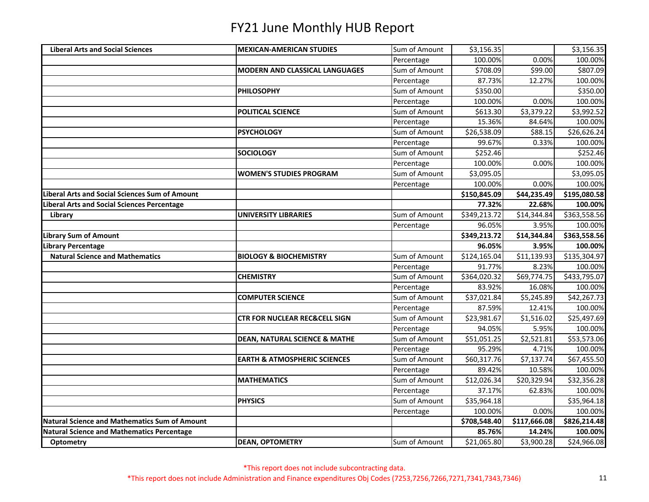| <b>Liberal Arts and Social Sciences</b>              | <b>MEXICAN-AMERICAN STUDIES</b>          | Sum of Amount | \$3,156.35   |              | \$3,156.35   |
|------------------------------------------------------|------------------------------------------|---------------|--------------|--------------|--------------|
|                                                      |                                          | Percentage    | 100.00%      | 0.00%        | 100.00%      |
|                                                      | <b>MODERN AND CLASSICAL LANGUAGES</b>    | Sum of Amount | \$708.09     | \$99.00      | \$807.09     |
|                                                      |                                          | Percentage    | 87.73%       | 12.27%       | 100.00%      |
|                                                      | <b>PHILOSOPHY</b>                        | Sum of Amount | \$350.00     |              | \$350.00     |
|                                                      |                                          | Percentage    | 100.00%      | 0.00%        | 100.00%      |
|                                                      | POLITICAL SCIENCE                        | Sum of Amount | \$613.30     | \$3,379.22   | \$3,992.52   |
|                                                      |                                          | Percentage    | 15.36%       | 84.64%       | 100.00%      |
|                                                      | <b>PSYCHOLOGY</b>                        | Sum of Amount | \$26,538.09  | \$88.15      | \$26,626.24  |
|                                                      |                                          | Percentage    | 99.67%       | 0.33%        | 100.00%      |
|                                                      | <b>SOCIOLOGY</b>                         | Sum of Amount | \$252.46     |              | \$252.46     |
|                                                      |                                          | Percentage    | 100.00%      | 0.00%        | 100.00%      |
|                                                      | <b>WOMEN'S STUDIES PROGRAM</b>           | Sum of Amount | \$3,095.05   |              | \$3,095.05   |
|                                                      |                                          | Percentage    | 100.00%      | 0.00%        | 100.00%      |
| Liberal Arts and Social Sciences Sum of Amount       |                                          |               | \$150,845.09 | \$44,235.49  | \$195,080.58 |
| <b>Liberal Arts and Social Sciences Percentage</b>   |                                          |               | 77.32%       | 22.68%       | 100.00%      |
| Library                                              | <b>UNIVERSITY LIBRARIES</b>              | Sum of Amount | \$349,213.72 | \$14,344.84  | \$363,558.56 |
|                                                      |                                          | Percentage    | 96.05%       | 3.95%        | 100.00%      |
| <b>Library Sum of Amount</b>                         |                                          |               | \$349,213.72 | \$14,344.84  | \$363,558.56 |
| Library Percentage                                   |                                          |               | 96.05%       | 3.95%        | 100.00%      |
| <b>Natural Science and Mathematics</b>               | <b>BIOLOGY &amp; BIOCHEMISTRY</b>        | Sum of Amount | \$124,165.04 | \$11,139.93  | \$135,304.97 |
|                                                      |                                          | Percentage    | 91.77%       | 8.23%        | 100.00%      |
|                                                      | <b>CHEMISTRY</b>                         | Sum of Amount | \$364,020.32 | \$69,774.75  | \$433,795.07 |
|                                                      |                                          | Percentage    | 83.92%       | 16.08%       | 100.00%      |
|                                                      | <b>COMPUTER SCIENCE</b>                  | Sum of Amount | \$37,021.84  | \$5,245.89   | \$42,267.73  |
|                                                      |                                          | Percentage    | 87.59%       | 12.41%       | 100.00%      |
|                                                      | <b>CTR FOR NUCLEAR REC&amp;CELL SIGN</b> | Sum of Amount | \$23,981.67  | \$1,516.02   | \$25,497.69  |
|                                                      |                                          | Percentage    | 94.05%       | 5.95%        | 100.00%      |
|                                                      | <b>DEAN, NATURAL SCIENCE &amp; MATHE</b> | Sum of Amount | \$51,051.25  | \$2,521.81   | \$53,573.06  |
|                                                      |                                          | Percentage    | 95.29%       | 4.71%        | 100.00%      |
|                                                      | <b>EARTH &amp; ATMOSPHERIC SCIENCES</b>  | Sum of Amount | \$60,317.76  | \$7,137.74   | \$67,455.50  |
|                                                      |                                          | Percentage    | 89.42%       | 10.58%       | 100.00%      |
|                                                      | <b>MATHEMATICS</b>                       | Sum of Amount | \$12,026.34  | \$20,329.94  | \$32,356.28  |
|                                                      |                                          | Percentage    | 37.17%       | 62.83%       | 100.00%      |
|                                                      | <b>PHYSICS</b>                           | Sum of Amount | \$35,964.18  |              | \$35,964.18  |
|                                                      |                                          | Percentage    | 100.00%      | 0.00%        | 100.00%      |
| <b>Natural Science and Mathematics Sum of Amount</b> |                                          |               | \$708,548.40 | \$117,666.08 | \$826,214.48 |
| <b>Natural Science and Mathematics Percentage</b>    |                                          |               | 85.76%       | 14.24%       | 100.00%      |
| Optometry                                            | <b>DEAN, OPTOMETRY</b>                   | Sum of Amount | \$21,065.80  | \$3,900.28   | \$24,966.08  |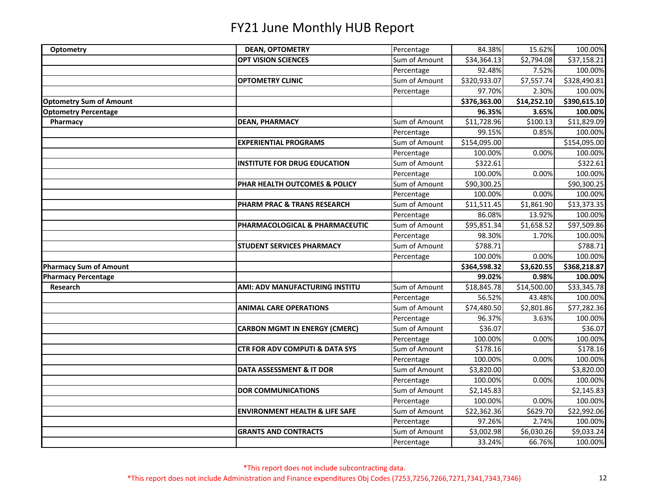| Optometry                      | <b>DEAN, OPTOMETRY</b>                    | Percentage    | 84.38%       | 15.62%      | 100.00%      |
|--------------------------------|-------------------------------------------|---------------|--------------|-------------|--------------|
|                                | <b>OPT VISION SCIENCES</b>                | Sum of Amount | \$34,364.13  | \$2,794.08  | \$37,158.21  |
|                                |                                           | Percentage    | 92.48%       | 7.52%       | 100.00%      |
|                                | <b>OPTOMETRY CLINIC</b>                   | Sum of Amount | \$320,933.07 | \$7,557.74  | \$328,490.81 |
|                                |                                           | Percentage    | 97.70%       | 2.30%       | 100.00%      |
| <b>Optometry Sum of Amount</b> |                                           |               | \$376,363.00 | \$14,252.10 | \$390,615.10 |
| <b>Optometry Percentage</b>    |                                           |               | 96.35%       | 3.65%       | 100.00%      |
| Pharmacy                       | <b>DEAN, PHARMACY</b>                     | Sum of Amount | \$11,728.96  | \$100.13    | \$11,829.09  |
|                                |                                           | Percentage    | 99.15%       | 0.85%       | 100.00%      |
|                                | <b>EXPERIENTIAL PROGRAMS</b>              | Sum of Amount | \$154,095.00 |             | \$154,095.00 |
|                                |                                           | Percentage    | 100.00%      | 0.00%       | 100.00%      |
|                                | <b>INSTITUTE FOR DRUG EDUCATION</b>       | Sum of Amount | \$322.61     |             | \$322.61     |
|                                |                                           | Percentage    | 100.00%      | 0.00%       | 100.00%      |
|                                | PHAR HEALTH OUTCOMES & POLICY             | Sum of Amount | \$90,300.25  |             | \$90,300.25  |
|                                |                                           | Percentage    | 100.00%      | 0.00%       | 100.00%      |
|                                | PHARM PRAC & TRANS RESEARCH               | Sum of Amount | \$11,511.45  | \$1,861.90  | \$13,373.35  |
|                                |                                           | Percentage    | 86.08%       | 13.92%      | 100.00%      |
|                                | PHARMACOLOGICAL & PHARMACEUTIC            | Sum of Amount | \$95,851.34  | \$1,658.52  | \$97,509.86  |
|                                |                                           | Percentage    | 98.30%       | 1.70%       | 100.00%      |
|                                | <b>STUDENT SERVICES PHARMACY</b>          | Sum of Amount | \$788.71     |             | \$788.71     |
|                                |                                           | Percentage    | 100.00%      | 0.00%       | 100.00%      |
| <b>Pharmacy Sum of Amount</b>  |                                           |               | \$364,598.32 | \$3,620.55  | \$368,218.87 |
| <b>Pharmacy Percentage</b>     |                                           |               | 99.02%       | 0.98%       | 100.00%      |
| Research                       | AMI: ADV MANUFACTURING INSTITU            | Sum of Amount | \$18,845.78  | \$14,500.00 | \$33,345.78  |
|                                |                                           | Percentage    | 56.52%       | 43.48%      | 100.00%      |
|                                | <b>ANIMAL CARE OPERATIONS</b>             | Sum of Amount | \$74,480.50  | \$2,801.86  | \$77,282.36  |
|                                |                                           | Percentage    | 96.37%       | 3.63%       | 100.00%      |
|                                | <b>CARBON MGMT IN ENERGY (CMERC)</b>      | Sum of Amount | \$36.07      |             | \$36.07      |
|                                |                                           | Percentage    | 100.00%      | 0.00%       | 100.00%      |
|                                | <b>CTR FOR ADV COMPUTI &amp; DATA SYS</b> | Sum of Amount | \$178.16     |             | \$178.16     |
|                                |                                           | Percentage    | 100.00%      | 0.00%       | 100.00%      |
|                                | DATA ASSESSMENT & IT DOR                  | Sum of Amount | \$3,820.00   |             | \$3,820.00   |
|                                |                                           | Percentage    | 100.00%      | 0.00%       | 100.00%      |
|                                | <b>DOR COMMUNICATIONS</b>                 | Sum of Amount | \$2,145.83   |             | \$2,145.83   |
|                                |                                           | Percentage    | 100.00%      | 0.00%       | 100.00%      |
|                                | <b>ENVIRONMENT HEALTH &amp; LIFE SAFE</b> | Sum of Amount | \$22,362.36  | \$629.70    | \$22,992.06  |
|                                |                                           | Percentage    | 97.26%       | 2.74%       | 100.00%      |
|                                | <b>GRANTS AND CONTRACTS</b>               | Sum of Amount | \$3,002.98   | \$6,030.26  | \$9,033.24   |
|                                |                                           | Percentage    | 33.24%       | 66.76%      | 100.00%      |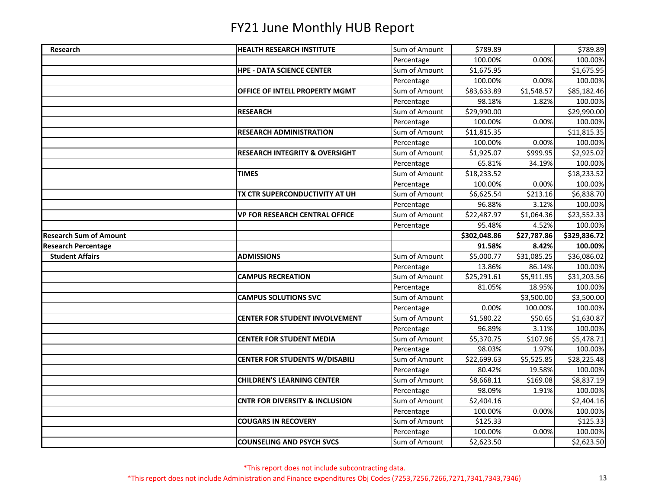| Research                      | <b>HEALTH RESEARCH INSTITUTE</b>          | Sum of Amount               | \$789.89                |             | \$789.89              |
|-------------------------------|-------------------------------------------|-----------------------------|-------------------------|-------------|-----------------------|
|                               |                                           | Percentage                  | 100.00%                 | 0.00%       | 100.00%               |
|                               | <b>HPE - DATA SCIENCE CENTER</b>          | Sum of Amount               | \$1,675.95              |             | \$1,675.95            |
|                               |                                           | Percentage                  | 100.00%                 | 0.00%       | 100.00%               |
|                               | OFFICE OF INTELL PROPERTY MGMT            | Sum of Amount               | \$83,633.89             | \$1,548.57  | \$85,182.46           |
|                               |                                           | Percentage                  | 98.18%                  | 1.82%       | 100.00%               |
|                               | <b>RESEARCH</b>                           | Sum of Amount               | \$29,990.00             |             | \$29,990.00           |
|                               |                                           | Percentage                  | 100.00%                 | 0.00%       | 100.00%               |
|                               | <b>RESEARCH ADMINISTRATION</b>            | Sum of Amount               | \$11,815.35             |             | \$11,815.35           |
|                               |                                           | Percentage                  | 100.00%                 | 0.00%       | 100.00%               |
|                               | <b>RESEARCH INTEGRITY &amp; OVERSIGHT</b> | Sum of Amount               | \$1,925.07              | \$999.95    | \$2,925.02            |
|                               |                                           | Percentage                  | 65.81%                  | 34.19%      | 100.00%               |
|                               | <b>TIMES</b>                              | Sum of Amount               | \$18,233.52             |             | \$18,233.52           |
|                               |                                           | Percentage                  | 100.00%                 | 0.00%       | 100.00%               |
|                               | TX CTR SUPERCONDUCTIVITY AT UH            | Sum of Amount               | \$6,625.54              | \$213.16    | \$6,838.70            |
|                               |                                           | Percentage                  | 96.88%                  | 3.12%       | 100.00%               |
|                               | <b>VP FOR RESEARCH CENTRAL OFFICE</b>     | Sum of Amount               | \$22,487.97             | \$1,064.36  | \$23,552.33           |
|                               |                                           | Percentage                  | 95.48%                  | 4.52%       | 100.00%               |
| <b>Research Sum of Amount</b> |                                           |                             | \$302,048.86            | \$27,787.86 | \$329,836.72          |
| <b>Research Percentage</b>    |                                           |                             |                         |             |                       |
|                               |                                           |                             | 91.58%                  | 8.42%       | 100.00%               |
| <b>Student Affairs</b>        | <b>ADMISSIONS</b>                         | Sum of Amount               | \$5,000.77              | \$31,085.25 | \$36,086.02           |
|                               |                                           | Percentage                  | 13.86%                  | 86.14%      | 100.00%               |
|                               | <b>CAMPUS RECREATION</b>                  | Sum of Amount               | $\overline{$}25,291.61$ | \$5,911.95  | \$31,203.56           |
|                               |                                           | Percentage                  | 81.05%                  | 18.95%      | 100.00%               |
|                               | <b>CAMPUS SOLUTIONS SVC</b>               | Sum of Amount               |                         | \$3,500.00  | \$3,500.00            |
|                               |                                           | Percentage                  | 0.00%                   | 100.00%     | 100.00%               |
|                               | <b>CENTER FOR STUDENT INVOLVEMENT</b>     | Sum of Amount               | \$1,580.22              | \$50.65     | \$1,630.87            |
|                               |                                           | Percentage                  | 96.89%                  | 3.11%       | 100.00%               |
|                               | <b>CENTER FOR STUDENT MEDIA</b>           | Sum of Amount               | \$5,370.75              | \$107.96    | \$5,478.71            |
|                               |                                           | Percentage                  | 98.03%                  | 1.97%       | 100.00%               |
|                               | <b>CENTER FOR STUDENTS W/DISABILI</b>     | Sum of Amount               | \$22,699.63             | \$5,525.85  | \$28,225.48           |
|                               |                                           | Percentage                  | 80.42%                  | 19.58%      | 100.00%               |
|                               | <b>CHILDREN'S LEARNING CENTER</b>         | Sum of Amount               | \$8,668.11              | \$169.08    | \$8,837.19            |
|                               |                                           | Percentage                  | 98.09%                  | 1.91%       | 100.00%               |
|                               | <b>CNTR FOR DIVERSITY &amp; INCLUSION</b> | Sum of Amount               | \$2,404.16              |             | \$2,404.16            |
|                               |                                           | Percentage                  | 100.00%                 | 0.00%       | 100.00%               |
|                               | <b>COUGARS IN RECOVERY</b>                | Sum of Amount               | \$125.33                |             | \$125.33              |
|                               |                                           | Percentage<br>Sum of Amount | 100.00%                 | 0.00%       | 100.00%<br>\$2,623.50 |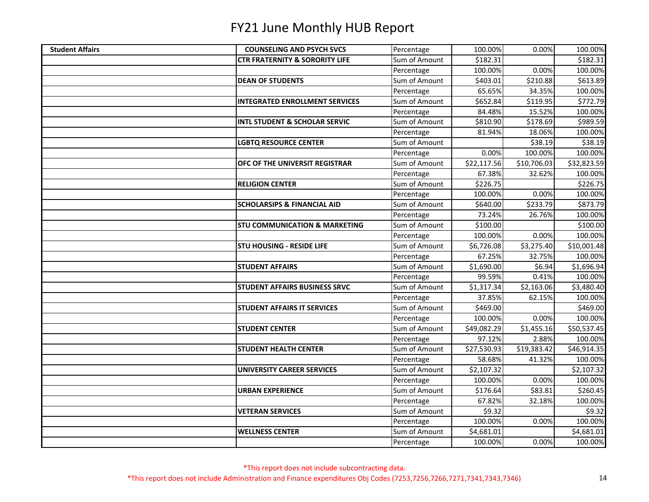| <b>Student Affairs</b> | <b>COUNSELING AND PSYCH SVCS</b>          | Percentage    | 100.00%     | 0.00%       | 100.00%     |
|------------------------|-------------------------------------------|---------------|-------------|-------------|-------------|
|                        | <b>CTR FRATERNITY &amp; SORORITY LIFE</b> | Sum of Amount | \$182.31    |             | \$182.31    |
|                        |                                           | Percentage    | 100.00%     | 0.00%       | 100.00%     |
|                        | <b>DEAN OF STUDENTS</b>                   | Sum of Amount | \$403.01    | \$210.88    | \$613.89    |
|                        |                                           | Percentage    | 65.65%      | 34.35%      | 100.00%     |
|                        | <b>INTEGRATED ENROLLMENT SERVICES</b>     | Sum of Amount | \$652.84    | \$119.95    | \$772.79    |
|                        |                                           | Percentage    | 84.48%      | 15.52%      | 100.00%     |
|                        | <b>INTL STUDENT &amp; SCHOLAR SERVIC</b>  | Sum of Amount | \$810.90    | \$178.69    | \$989.59    |
|                        |                                           | Percentage    | 81.94%      | 18.06%      | 100.00%     |
|                        | <b>LGBTQ RESOURCE CENTER</b>              | Sum of Amount |             | \$38.19     | \$38.19     |
|                        |                                           | Percentage    | 0.00%       | 100.00%     | 100.00%     |
|                        | OFC OF THE UNIVERSIT REGISTRAR            | Sum of Amount | \$22,117.56 | \$10,706.03 | \$32,823.59 |
|                        |                                           | Percentage    | 67.38%      | 32.62%      | 100.00%     |
|                        | <b>RELIGION CENTER</b>                    | Sum of Amount | \$226.75    |             | \$226.75    |
|                        |                                           | Percentage    | 100.00%     | 0.00%       | 100.00%     |
|                        | <b>SCHOLARSIPS &amp; FINANCIAL AID</b>    | Sum of Amount | \$640.00    | \$233.79    | \$873.79    |
|                        |                                           | Percentage    | 73.24%      | 26.76%      | 100.00%     |
|                        | <b>STU COMMUNICATION &amp; MARKETING</b>  | Sum of Amount | \$100.00    |             | \$100.00    |
|                        |                                           | Percentage    | 100.00%     | 0.00%       | 100.00%     |
|                        | <b>STU HOUSING - RESIDE LIFE</b>          | Sum of Amount | \$6,726.08  | \$3,275.40  | \$10,001.48 |
|                        |                                           | Percentage    | 67.25%      | 32.75%      | 100.00%     |
|                        | <b>STUDENT AFFAIRS</b>                    | Sum of Amount | \$1,690.00  | \$6.94      | \$1,696.94  |
|                        |                                           | Percentage    | 99.59%      | 0.41%       | 100.00%     |
|                        | <b>STUDENT AFFAIRS BUSINESS SRVC</b>      | Sum of Amount | \$1,317.34  | \$2,163.06  | \$3,480.40  |
|                        |                                           | Percentage    | 37.85%      | 62.15%      | 100.00%     |
|                        | <b>STUDENT AFFAIRS IT SERVICES</b>        | Sum of Amount | \$469.00    |             | \$469.00    |
|                        |                                           | Percentage    | 100.00%     | 0.00%       | 100.00%     |
|                        | <b>STUDENT CENTER</b>                     | Sum of Amount | \$49,082.29 | \$1,455.16  | \$50,537.45 |
|                        |                                           | Percentage    | 97.12%      | 2.88%       | 100.00%     |
|                        | <b>STUDENT HEALTH CENTER</b>              | Sum of Amount | \$27,530.93 | \$19,383.42 | \$46,914.35 |
|                        |                                           | Percentage    | 58.68%      | 41.32%      | 100.00%     |
|                        | <b>UNIVERSITY CAREER SERVICES</b>         | Sum of Amount | \$2,107.32  |             | \$2,107.32  |
|                        |                                           | Percentage    | 100.00%     | 0.00%       | 100.00%     |
|                        | <b>URBAN EXPERIENCE</b>                   | Sum of Amount | \$176.64    | \$83.81     | \$260.45    |
|                        |                                           | Percentage    | 67.82%      | 32.18%      | 100.00%     |
|                        | <b>VETERAN SERVICES</b>                   | Sum of Amount | \$9.32      |             | \$9.32      |
|                        |                                           | Percentage    | 100.00%     | 0.00%       | 100.00%     |
|                        | <b>WELLNESS CENTER</b>                    | Sum of Amount | \$4,681.01  |             | \$4,681.01  |
|                        |                                           | Percentage    | 100.00%     | 0.00%       | 100.00%     |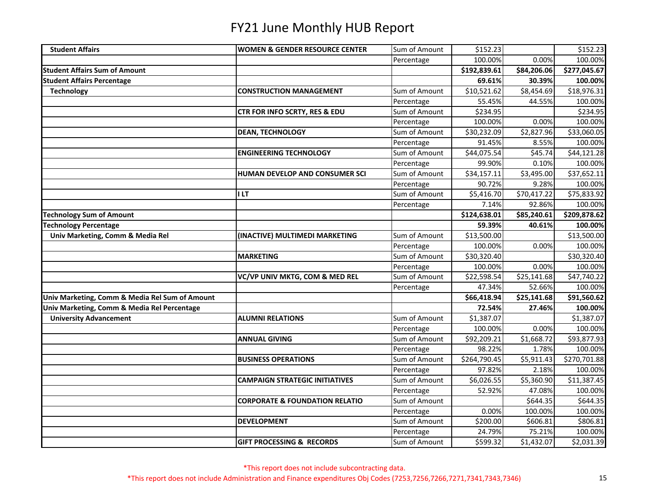| <b>Student Affairs</b>                         | <b>WOMEN &amp; GENDER RESOURCE CENTER</b> | Sum of Amount | \$152.23     |             | \$152.23     |
|------------------------------------------------|-------------------------------------------|---------------|--------------|-------------|--------------|
|                                                |                                           | Percentage    | 100.00%      | 0.00%       | 100.00%      |
| <b>Student Affairs Sum of Amount</b>           |                                           |               | \$192,839.61 | \$84,206.06 | \$277,045.67 |
| <b>Student Affairs Percentage</b>              |                                           |               | 69.61%       | 30.39%      | 100.00%      |
| <b>Technology</b>                              | <b>CONSTRUCTION MANAGEMENT</b>            | Sum of Amount | \$10,521.62  | \$8,454.69  | \$18,976.31  |
|                                                |                                           | Percentage    | 55.45%       | 44.55%      | 100.00%      |
|                                                | CTR FOR INFO SCRTY, RES & EDU             | Sum of Amount | \$234.95     |             | \$234.95     |
|                                                |                                           | Percentage    | 100.00%      | 0.00%       | 100.00%      |
|                                                | <b>DEAN, TECHNOLOGY</b>                   | Sum of Amount | \$30,232.09  | \$2,827.96  | \$33,060.05  |
|                                                |                                           | Percentage    | 91.45%       | 8.55%       | 100.00%      |
|                                                | <b>ENGINEERING TECHNOLOGY</b>             | Sum of Amount | \$44,075.54  | \$45.74     | \$44,121.28  |
|                                                |                                           | Percentage    | 99.90%       | 0.10%       | 100.00%      |
|                                                | HUMAN DEVELOP AND CONSUMER SCI            | Sum of Amount | \$34,157.11  | \$3,495.00  | \$37,652.11  |
|                                                |                                           | Percentage    | 90.72%       | 9.28%       | 100.00%      |
|                                                | <b>ILT</b>                                | Sum of Amount | \$5,416.70   | \$70,417.22 | \$75,833.92  |
|                                                |                                           | Percentage    | 7.14%        | 92.86%      | 100.00%      |
| <b>Technology Sum of Amount</b>                |                                           |               | \$124,638.01 | \$85,240.61 | \$209,878.62 |
| <b>Technology Percentage</b>                   |                                           |               | 59.39%       | 40.61%      | 100.00%      |
| Univ Marketing, Comm & Media Rel               | (INACTIVE) MULTIMEDI MARKETING            | Sum of Amount | \$13,500.00  |             | \$13,500.00  |
|                                                |                                           | Percentage    | 100.00%      | 0.00%       | 100.00%      |
|                                                | <b>MARKETING</b>                          | Sum of Amount | \$30,320.40  |             | \$30,320.40  |
|                                                |                                           | Percentage    | 100.00%      | 0.00%       | 100.00%      |
|                                                | VC/VP UNIV MKTG, COM & MED REL            | Sum of Amount | \$22,598.54  | \$25,141.68 | \$47,740.22  |
|                                                |                                           | Percentage    | 47.34%       | 52.66%      | 100.00%      |
| Univ Marketing, Comm & Media Rel Sum of Amount |                                           |               | \$66,418.94  | \$25,141.68 | \$91,560.62  |
| Univ Marketing, Comm & Media Rel Percentage    |                                           |               | 72.54%       | 27.46%      | 100.00%      |
| <b>University Advancement</b>                  | <b>ALUMNI RELATIONS</b>                   | Sum of Amount | \$1,387.07   |             | \$1,387.07   |
|                                                |                                           | Percentage    | 100.00%      | 0.00%       | 100.00%      |
|                                                | <b>ANNUAL GIVING</b>                      | Sum of Amount | \$92,209.21  | \$1,668.72  | \$93,877.93  |
|                                                |                                           | Percentage    | 98.22%       | 1.78%       | 100.00%      |
|                                                | <b>BUSINESS OPERATIONS</b>                | Sum of Amount | \$264,790.45 | \$5,911.43  | \$270,701.88 |
|                                                |                                           | Percentage    | 97.82%       | 2.18%       | 100.00%      |
|                                                | <b>CAMPAIGN STRATEGIC INITIATIVES</b>     | Sum of Amount | \$6,026.55   | \$5,360.90  | \$11,387.45  |
|                                                |                                           | Percentage    | 52.92%       | 47.08%      | 100.00%      |
|                                                | <b>CORPORATE &amp; FOUNDATION RELATIO</b> | Sum of Amount |              | \$644.35    | \$644.35     |
|                                                |                                           | Percentage    | 0.00%        | 100.00%     | 100.00%      |
|                                                | <b>DEVELOPMENT</b>                        | Sum of Amount | \$200.00     | \$606.81    | \$806.81     |
|                                                |                                           | Percentage    | 24.79%       | 75.21%      | 100.00%      |
|                                                | <b>GIFT PROCESSING &amp; RECORDS</b>      | Sum of Amount | \$599.32     | \$1,432.07  | \$2,031.39   |